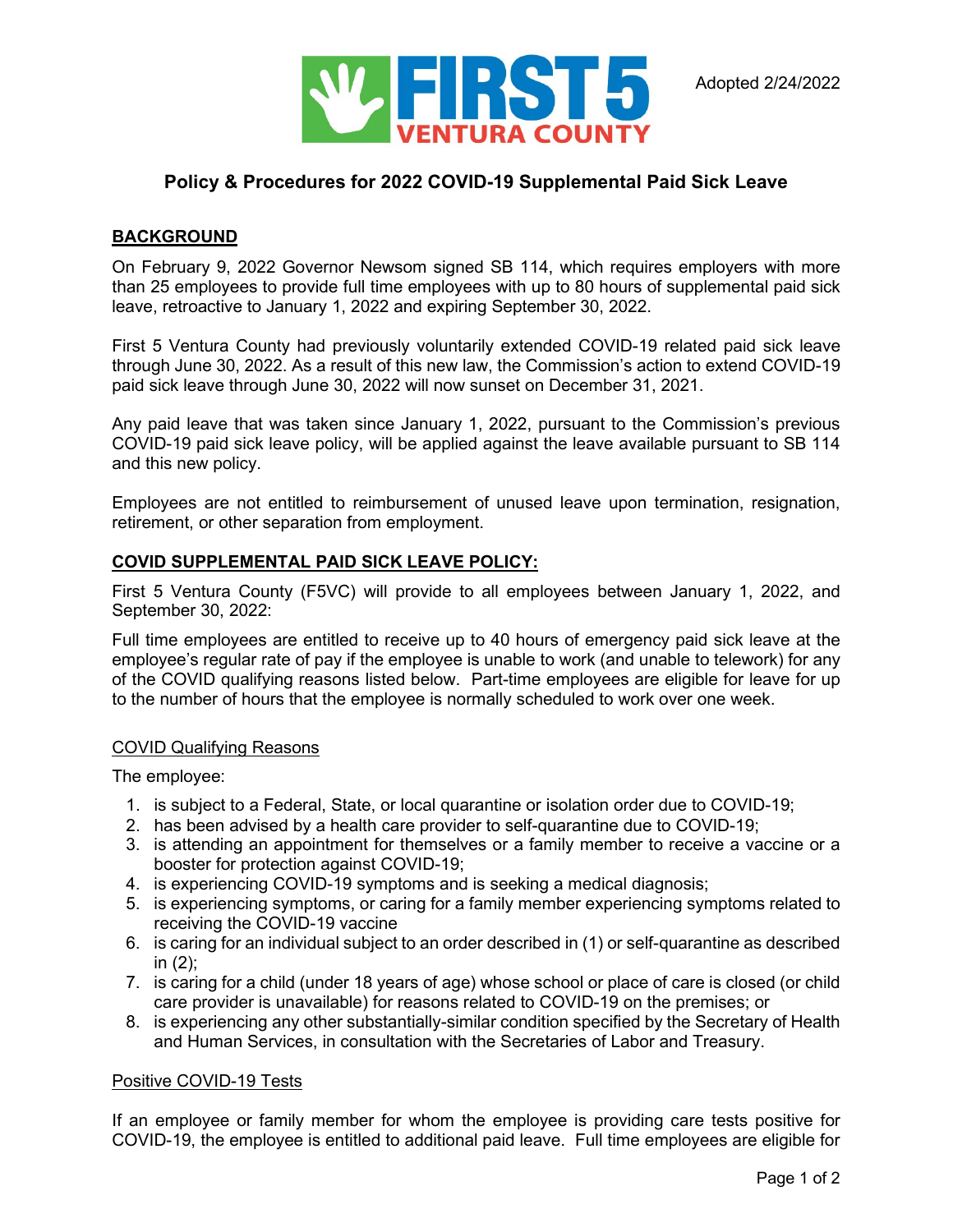

# **Policy & Procedures for 2022 COVID-19 Supplemental Paid Sick Leave**

### **BACKGROUND**

On February 9, 2022 Governor Newsom signed SB 114, which requires employers with more than 25 employees to provide full time employees with up to 80 hours of supplemental paid sick leave, retroactive to January 1, 2022 and expiring September 30, 2022.

First 5 Ventura County had previously voluntarily extended COVID-19 related paid sick leave through June 30, 2022. As a result of this new law, the Commission's action to extend COVID-19 paid sick leave through June 30, 2022 will now sunset on December 31, 2021.

Any paid leave that was taken since January 1, 2022, pursuant to the Commission's previous COVID-19 paid sick leave policy, will be applied against the leave available pursuant to SB 114 and this new policy.

Employees are not entitled to reimbursement of unused leave upon termination, resignation, retirement, or other separation from employment.

#### **COVID SUPPLEMENTAL PAID SICK LEAVE POLICY:**

First 5 Ventura County (F5VC) will provide to all employees between January 1, 2022, and September 30, 2022:

Full time employees are entitled to receive up to 40 hours of emergency paid sick leave at the employee's regular rate of pay if the employee is unable to work (and unable to telework) for any of the COVID qualifying reasons listed below. Part-time employees are eligible for leave for up to the number of hours that the employee is normally scheduled to work over one week.

#### COVID Qualifying Reasons

The employee:

- 1. is subject to a Federal, State, or local quarantine or isolation order due to COVID-19;
- 2. has been advised by a health care provider to self-quarantine due to COVID-19;
- 3. is attending an appointment for themselves or a family member to receive a vaccine or a booster for protection against COVID-19;
- 4. is experiencing COVID-19 symptoms and is seeking a medical diagnosis;
- 5. is experiencing symptoms, or caring for a family member experiencing symptoms related to receiving the COVID-19 vaccine
- 6. is caring for an individual subject to an order described in (1) or self-quarantine as described in (2);
- 7. is caring for a child (under 18 years of age) whose school or place of care is closed (or child care provider is unavailable) for reasons related to COVID-19 on the premises; or
- 8. is experiencing any other substantially-similar condition specified by the Secretary of Health and Human Services, in consultation with the Secretaries of Labor and Treasury.

#### Positive COVID-19 Tests

If an employee or family member for whom the employee is providing care tests positive for COVID-19, the employee is entitled to additional paid leave. Full time employees are eligible for